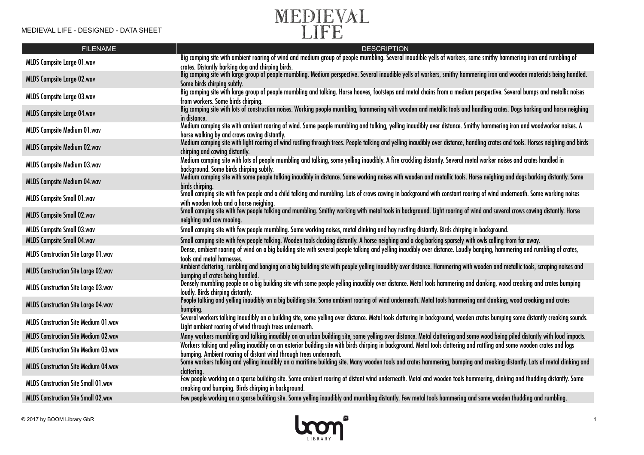

| <b>FILENAME</b>                             | <b>DESCRIPTION</b>                                                                                                                                                                                                                              |
|---------------------------------------------|-------------------------------------------------------------------------------------------------------------------------------------------------------------------------------------------------------------------------------------------------|
| MLDS Campsite Large 01.wav                  | Big camping site with ambient roaring of wind and medium group of people mumbling. Several inaudible yells of workers, some smithy hammering iron and rumbling of<br>crates. Distantly barking dog and chirping birds.                          |
| MLDS Campsite Large 02.wav                  | Big camping site with large group of people mumbling. Medium perspective. Several inaudible yells of workers, smithy hammering iron and wooden materials being handled.<br>Some birds chirping subtly.                                          |
| <b>MLDS Campsite Large 03.wav</b>           | Big camping site with large group of people mumbling and talking. Horse hooves, footsteps and metal chains from a medium perspective. Several bumps and metallic noises                                                                         |
| <b>MLDS Campsite Large 04.wav</b>           | from workers. Some birds chirping.<br>Big camping site with lots of construction noises. Working people mumbling, hammering with wooden and metallic tools and handling crates. Dogs barking and horse neighing                                 |
|                                             | in distance.<br>Medium camping site with ambient roaring of wind. Some people mumbling and talking, yelling inaudibly over distance. Smithy hammering iron and woodworker noises. A                                                             |
| <b>MLDS Campsite Medium 01.wav</b>          | horse walking by and crows cawing distantly.                                                                                                                                                                                                    |
| MLDS Campsite Medium 02.wav                 | Medium camping site with light roaring of wind rustling through trees. People talking and yelling inaudibly over distance, handling crates and tools. Horses neighing and birds<br>chirping and cawing distantly.                               |
| MLDS Campsite Medium 03.wav                 | Medium camping site with lots of people mumbling and talking, some yelling inaudibly. A fire crackling distantly. Several metal worker noises and crates handled in<br>background. Some birds chirping subtly.                                  |
| <b>MLDS Campsite Medium 04.wav</b>          | Medium camping site with some people talking inaudibly in distance. Some working noises with wooden and metallic tools. Horse neighing and dogs barking distantly. Some<br>birds chirping.                                                      |
| <b>MLDS Campsite Small 01.wav</b>           | Small camping site with few people and a child talking and mumbling. Lots of crows cawing in background with constant roaring of wind underneath. Some working noises<br>with wooden tools and a horse neighing.                                |
| MLDS Campsite Small 02.wav                  | Small camping site with few people talking and mumbling. Smithy working with metal tools in background. Light roaring of wind and several crows cawing distantly. Horse<br>neighing and cow mooing.                                             |
| <b>MLDS Campsite Small 03.wav</b>           | Small camping site with few people mumbling. Some working noises, metal clinking and hay rustling distantly. Birds chirping in background.                                                                                                      |
| <b>MLDS Campsite Small 04.wav</b>           | Small camping site with few people talking. Wooden tools clacking distantly. A horse neighing and a dog barking sparsely with owls calling from far away.                                                                                       |
| <b>MLDS Construction Site Large 01.wav</b>  | Dense, ambient roaring of wind on a big building site with several people talking and yelling inaudibly over distance. Loudly banging, hammering and rumbling of crates,<br>tools and metal harnesses.                                          |
| <b>MLDS Construction Site Large 02.wav</b>  | Ambient clattering, rumbling and banging on a big building site with people yelling inaudibly over distance. Hammering with wooden and metallic tools, scraping noises and<br>bumping of crates being handled.                                  |
| <b>MLDS Construction Site Large 03.wav</b>  | Densely mumbling people on a big building site with some people yelling inaudibly over distance. Metal tools hammering and clanking, wood creaking and crates bumping<br>loudly. Birds chirping distantly.                                      |
| <b>MLDS Construction Site Large 04.wav</b>  | People talking and yelling inaudibly on a big building site. Some ambient roaring of wind underneath. Metal tools hammering and clanking, wood creaking and crates<br>bumping.                                                                  |
| MLDS Construction Site Medium 01.wav        | Several workers talking inaudibly on a building site, some yelling over distance. Metal tools clattering in background, wooden crates bumping some distantly creaking sounds.<br>Light ambient roaring of wind through trees underneath.        |
| <b>MLDS Construction Site Medium 02.wav</b> | Many workers mumbling and talking inaudibly on an urban building site, some yelling over distance. Metal clattering and some wood being piled distantly with loud impacts.                                                                      |
| <b>MLDS Construction Site Medium 03.wav</b> | Workers talking and yelling inaudibly on an exterior building site with birds chirping in background. Metal tools clattering and rattling and some wooden crates and logs<br>bumping. Ambient roaring of distant wind through trees underneath. |
| <b>MLDS Construction Site Medium 04.wav</b> | Some workers talking and yelling inaudibly on a maritime building site. Many wooden tools and crates hammering, bumping and creaking distantly. Lots of metal clinking and<br>clattering.                                                       |
| MLDS Construction Site Small 01.wav         | Few people working on a sparse building site. Some ambient roaring of distant wind underneath. Metal and wooden tools hammering, clinking and thudding distantly. Some<br>creaking and bumping. Birds chirping in background.                   |
| <b>MLDS Construction Site Small 02.wav</b>  | Few people working on a sparse building site. Some yelling inaudibly and mumbling distantly. Few metal tools hammering and some wooden thudding and rumbling.                                                                                   |

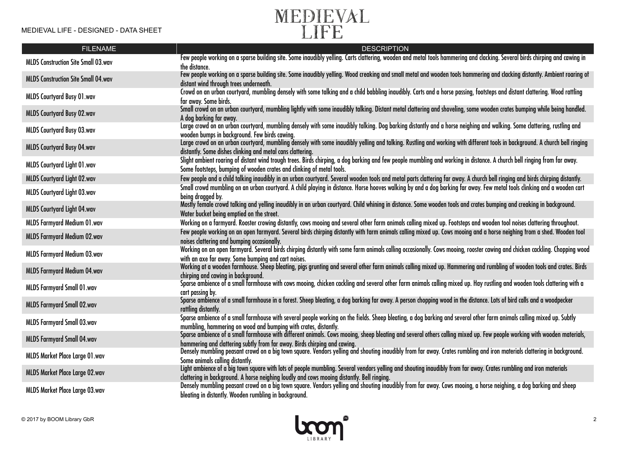

| <b>FILENAME</b>                            | <b>DESCRIPTION</b>                                                                                                                                                                                                                                               |
|--------------------------------------------|------------------------------------------------------------------------------------------------------------------------------------------------------------------------------------------------------------------------------------------------------------------|
| <b>MLDS Construction Site Small 03.wav</b> | Few people working on a sparse building site. Some inaudibly yelling. Carts clattering, wooden and metal tools hammering and clacking. Several birds chirping and cawing in<br>the distance.                                                                     |
| <b>MLDS Construction Site Small 04.wav</b> | Few people working on a sparse building site. Some inaudibly yelling. Wood creaking and small metal and wooden tools hammering and clacking distantly. Ambient roaring of<br>distant wind through trees underneath.                                              |
| <b>MLDS Courtyard Busy 01.wav</b>          | Crowd on an urban courtyard, mumbling densely with some talking and a child babbling inaudibly. Carts and a horse passing, footsteps and distant clattering. Wood rattling<br>far away. Some birds.                                                              |
| <b>MLDS Courtyard Busy 02.wav</b>          | Small crowd on an urban courtyard, mumbling lightly with some inaudibly talking. Distant metal clattering and shoveling, some wooden crates bumping while being handled.<br>A dog barking far away.                                                              |
| <b>MLDS Courtyard Busy 03.wav</b>          | Large crowd on an urban courtyard, mumbling densely with some inaudibly talking. Dog barking distantly and a horse neighing and walking. Some clattering, rustling and<br>wooden bumps in background. Few birds cawing.                                          |
| <b>MLDS Courtyard Busy 04.wav</b>          | Large crowd on an urban courtyard, mumbling densely with some inaudibly yelling and talking. Rustling and working with different tools in background. A church bell ringing<br>distantly. Some dishes clinking and metal cans clattering.                        |
| MLDS Courtyard Light 01.wav                | Slight ambient roaring of distant wind trough trees. Birds chirping, a dog barking and few people mumbling and working in distance. A church bell ringing from far away.<br>Some footsteps, bumping of wooden crates and clinking of metal tools.                |
| MLDS Courtyard Light 02.wav                | Few people and a child talking inaudibly in an urban courtyard. Several wooden tools and metal parts clattering far away. A church bell ringing and birds chirping distantly.                                                                                    |
| <b>MLDS Courtyard Light 03.wav</b>         | Small crowd mumbling on an urban courtyard. A child playing in distance. Horse hooves walking by and a dog barking far away. Few metal tools clinking and a wooden cart<br>being dragged by.                                                                     |
| MLDS Courtyard Light 04.wav                | Mostly female crowd talking and yelling inaudibly in an urban courtyard. Child whining in distance. Some wooden tools and crates bumping and creaking in background.<br>Water bucket being emptied on the street.                                                |
| <b>MLDS Farmyard Medium 01.wav</b>         | Working on a farmyard. Rooster crowing distantly, cows mooing and several other farm animals calling mixed up. Footsteps and wooden tool noises clattering throughout.                                                                                           |
| <b>MLDS Farmyard Medium 02.wav</b>         | Few people working on an open farmyard. Several birds chirping distantly with farm animals calling mixed up. Cows mooing and a horse neighing from a shed. Wooden tool<br>noises clattering and bumping occasionally.                                            |
| <b>MLDS Farmyard Medium 03.wav</b>         | Working on an open farmyard. Several birds chirping distantly with some farm animals calling occasionally. Cows mooing, rooster cawing and chicken cackling. Chopping wood<br>with an axe far away. Some bumping and cart noises.                                |
| <b>MLDS Farmyard Medium 04.wav</b>         | Working at a wooden farmhouse. Sheep bleating, pigs grunting and several other farm animals calling mixed up. Hammering and rumbling of wooden tools and crates. Birds<br>chirping and cawing in background.                                                     |
| MLDS Farmyard Small 01.wav                 | Sparse ambience of a small farmhouse with cows mooing, chicken cackling and several other farm animals calling mixed up. Hay rustling and wooden tools clattering with a<br>cart passing by.                                                                     |
| <b>MLDS Farmyard Small 02.wav</b>          | Sparse ambience of a small farmhouse in a forest. Sheep bleating, a dog barking far away. A person chopping wood in the distance. Lots of bird calls and a woodpecker<br>rattling distantly.                                                                     |
| <b>MLDS Farmyard Small 03.wav</b>          | Sparse ambience of a small farmhouse with several people working on the fields. Sheep bleating, a dog barking and several other farm animals calling mixed up. Subtly<br>mumbling, hammering on wood and bumping with crates, distantly.                         |
| <b>MLDS Farmyard Small 04.wav</b>          | Sparse ambience of a small farmhouse with different animals. Cows mooing, sheep bleating and several others calling mixed up. Few people working with wooden materials,<br>hammering and clattering subtly from far away. Birds chirping and cawing.             |
| MLDS Market Place Large 01.wav             | Densely mumbling peasant crowd on a big town square. Vendors yelling and shouting inaudibly from far away. Crates rumbling and iron materials clattering in background.<br>Some animals calling distantly.                                                       |
| MLDS Market Place Large 02.wav             | Light ambience of a big town square with lots of people mumbling. Several vendors yelling and shouting inaudibly from far away. Crates rumbling and iron materials<br>clattering in background. A horse neighing loudly and cows mooing distantly. Bell ringing. |
| MLDS Market Place Large 03.wav             | Densely mumbling peasant crowd on a big town square. Vendors yelling and shouting inaudibly from far away. Cows mooing, a horse neighing, a dog barking and sheep<br>bleating in distantly. Wooden rumbling in background.                                       |